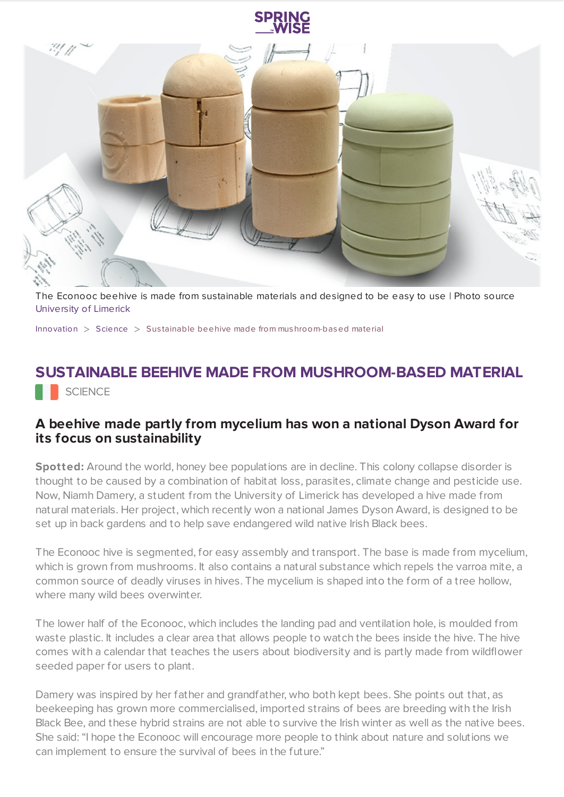



The Econooc beehive is made from sustainable materials and designed to be easy to use | Photo source [University](https://www.ul.ie/scieng/schools-and-departments/school-design/designul-2020/product-design-technology-showcase-2020/niamh-damery-econooc) of Limerick

[Innovation](https://www.springwise.com/search?type=innovation)  $>$  [Science](https://www.springwise.com/search?type=innovation§or=science-and-natural-world)  $>$  Sustainable beehive made from mushroom-based material

## **SUSTAINABLE BEEHIVE MADE FROM MUSHROOM-BASED MATERIAL** SCIENCE

## **A beehive made partly from mycelium has won a national Dyson Award for its focus on sustainability**

**Spotted:** Around the world, honey bee populations are in decline. This colony collapse disorder is thought to be caused by a combination of habitat loss, parasites, climate change and pesticide use. Now, Niamh Damery, a student from the University of Limerick has developed a hive made from natural materials. Her project, which recently won a national James Dyson Award, is designed to be set up in back gardens and to help save endangered wild native Irish Black bees.

The Econooc hive is segmented, for easy assembly and transport. The base is made from mycelium, which is grown from mushrooms. It also contains a natural substance which repels the varroa mite, a common source of deadly viruses in hives. The mycelium is shaped into the form of a tree hollow, where many wild bees overwinter.

The lower half of the Econooc, which includes the landing pad and ventilation hole, is moulded from waste plastic. It includes a clear area that allows people to watch the bees inside the hive. The hive comes with a calendar that teaches the users about biodiversity and is partly made from wildflower seeded paper for users to plant.

Damery was inspired by her father and grandfather, who both kept bees. She points out that, as beekeeping has grown more commercialised, imported strains of bees are breeding with the Irish Black Bee, and these hybrid strains are not able to survive the Irish winter as well as the native bees. She said: "I hope the Econooc will encourage more people to think about nature and solutions we can implement to ensure the survival of bees in the future."